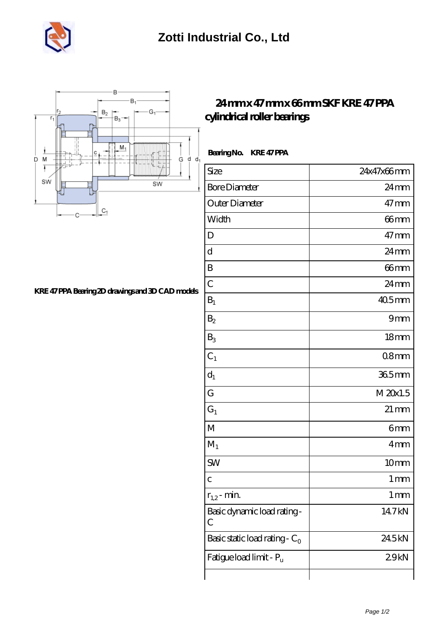



## **[KRE 47 PPA Bearing 2D drawings and 3D CAD models](https://m.musik-graz.net/pic-40904.html)**

## **[24 mm x 47 mm x 66 mm SKF KRE 47 PPA](https://m.musik-graz.net/am-40904-skf-kre-47-ppa-cylindrical-roller-bearings.html) [cylindrical roller bearings](https://m.musik-graz.net/am-40904-skf-kre-47-ppa-cylindrical-roller-bearings.html)**

 **Bearing No. KRE 47 PPA**

| Size                             | 24x47x66mm         |
|----------------------------------|--------------------|
| <b>Bore Diameter</b>             | $24 \,\mathrm{mm}$ |
| Outer Diameter                   | $47 \text{mm}$     |
| Width                            | 66 <sub>mm</sub>   |
| D                                | $47 \text{mm}$     |
| $\mathbf d$                      | 24mm               |
| B                                | 66mm               |
| $\mathcal{C}$                    | $24 \,\mathrm{mm}$ |
| $B_1$                            | $405$ mm           |
| B <sub>2</sub>                   | 9mm                |
| $B_3$                            | 18 <sub>mm</sub>   |
| $C_1$                            | 08 <sub>mm</sub>   |
| $d_1$                            | 365mm              |
| G                                | M 20x1.5           |
| $G_1$                            | $21 \,\mathrm{mm}$ |
| $\mathbf{M}$                     | 6mm                |
| $M_1$                            | 4mm                |
| <b>SW</b>                        | 10mm               |
| $\overline{C}$                   | 1 <sub>mm</sub>    |
| $r_{1,2}$ - min.                 | 1 mm               |
| Basic dynamic load rating-<br>С  | 14.7kN             |
| Basic static load rating - $C_0$ | 24.5kN             |
| Fatigue load limit - Pu          | 29kN               |
|                                  |                    |